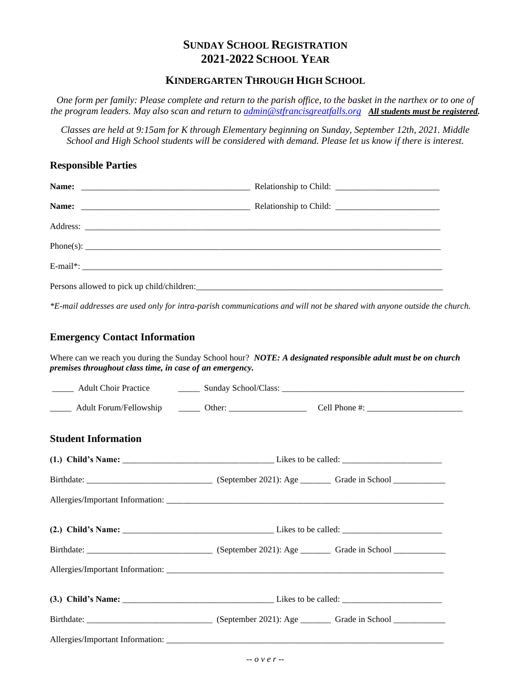# **SUNDAY SCHOOL REGISTRATION 2021-2022 SCHOOL YEAR**

## **KINDERGARTEN THROUGH HIGH SCHOOL**

*One form per family: Please complete and return to the parish office, to the basket in the narthex or to one of the program leaders. May also scan and return to [admin@stfrancisgreatfalls.org](mailto:admin@stfrancisgreatfalls.org) All students must be registered.*

*Classes are held at 9:15am for K through Elementary beginning on Sunday, September 12th, 2021. Middle School and High School students will be considered with demand. Please let us know if there is interest.*

### **Responsible Parties**

*\*E-mail addresses are used only for intra-parish communications and will not be shared with anyone outside the church.*

## **Emergency Contact Information**

Where can we reach you during the Sunday School hour? *NOTE: A designated responsible adult must be on church premises throughout class time, in case of an emergency.*

| <b>Student Information</b> |  |  |
|----------------------------|--|--|
|                            |  |  |
|                            |  |  |
|                            |  |  |
|                            |  |  |
|                            |  |  |
|                            |  |  |
|                            |  |  |
|                            |  |  |
|                            |  |  |